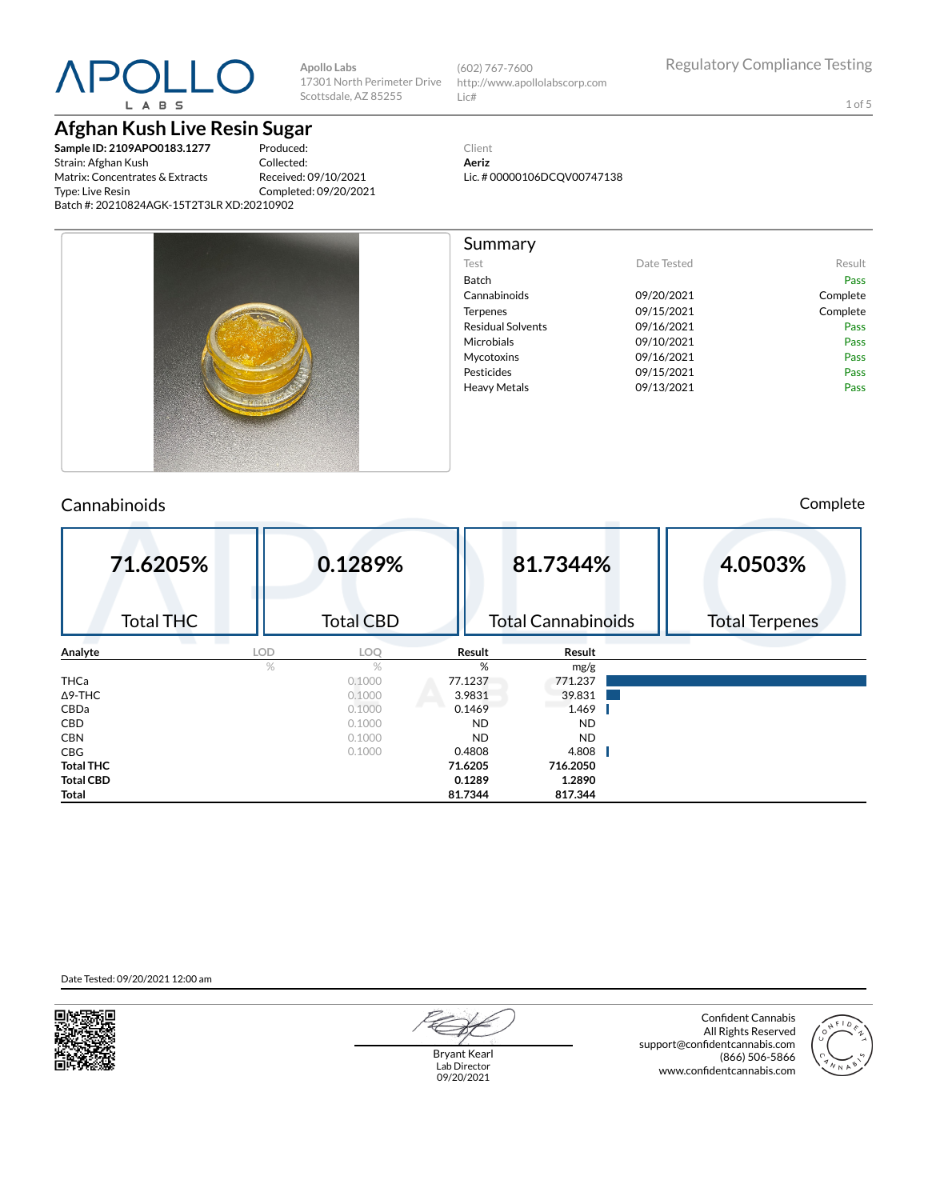

## **Afghan Kush Live Resin Sugar**

**Sample ID: 2109APO0183.1277** Strain: Afghan Kush Matrix: Concentrates & Extracts Type: Live Resin Batch #: 20210824AGK-15T2T3LR XD:20210902

Produced: Collected: Received: 09/10/2021 Completed: 09/20/2021

**Apollo Labs**

Scottsdale, AZ 85255

17301 North Perimeter Drive (602) 767-7600 http://www.apollolabscorp.com Lic#

1 of 5

Client **Aeriz** Lic. # 00000106DCQV00747138



### Cannabinoids Complete

| 71.6205%         |               | 0.1289%          |           | 81.7344%                  | 4.0503%               |
|------------------|---------------|------------------|-----------|---------------------------|-----------------------|
| <b>Total THC</b> |               | <b>Total CBD</b> |           | <b>Total Cannabinoids</b> | <b>Total Terpenes</b> |
| Analyte          | <b>LOD</b>    | LOQ              | Result    | Result                    |                       |
|                  | $\frac{1}{2}$ | $\%$             | %         | mg/g                      |                       |
| <b>THCa</b>      |               | 0.1000           | 77.1237   | 771.237                   |                       |
| $\Delta$ 9-THC   |               | 0.1000           | 3.9831    | 39.831                    |                       |
| CBDa             |               | 0.1000           | 0.1469    | 1.469                     |                       |
| <b>CBD</b>       |               | 0.1000           | <b>ND</b> | <b>ND</b>                 |                       |
| <b>CBN</b>       |               | 0.1000           | <b>ND</b> | <b>ND</b>                 |                       |
| <b>CBG</b>       |               | 0.1000           | 0.4808    | 4.808                     |                       |
| <b>Total THC</b> |               |                  | 71.6205   | 716.2050                  |                       |
| <b>Total CBD</b> |               |                  | 0.1289    | 1.2890                    |                       |
| Total            |               |                  | 81.7344   | 817.344                   |                       |

Date Tested: 09/20/2021 12:00 am



Bryant Kearl Lab Director 09/20/2021

Confident Cannabis All Rights Reserved support@confidentcannabis.com (866) 506-5866 www.confidentcannabis.com

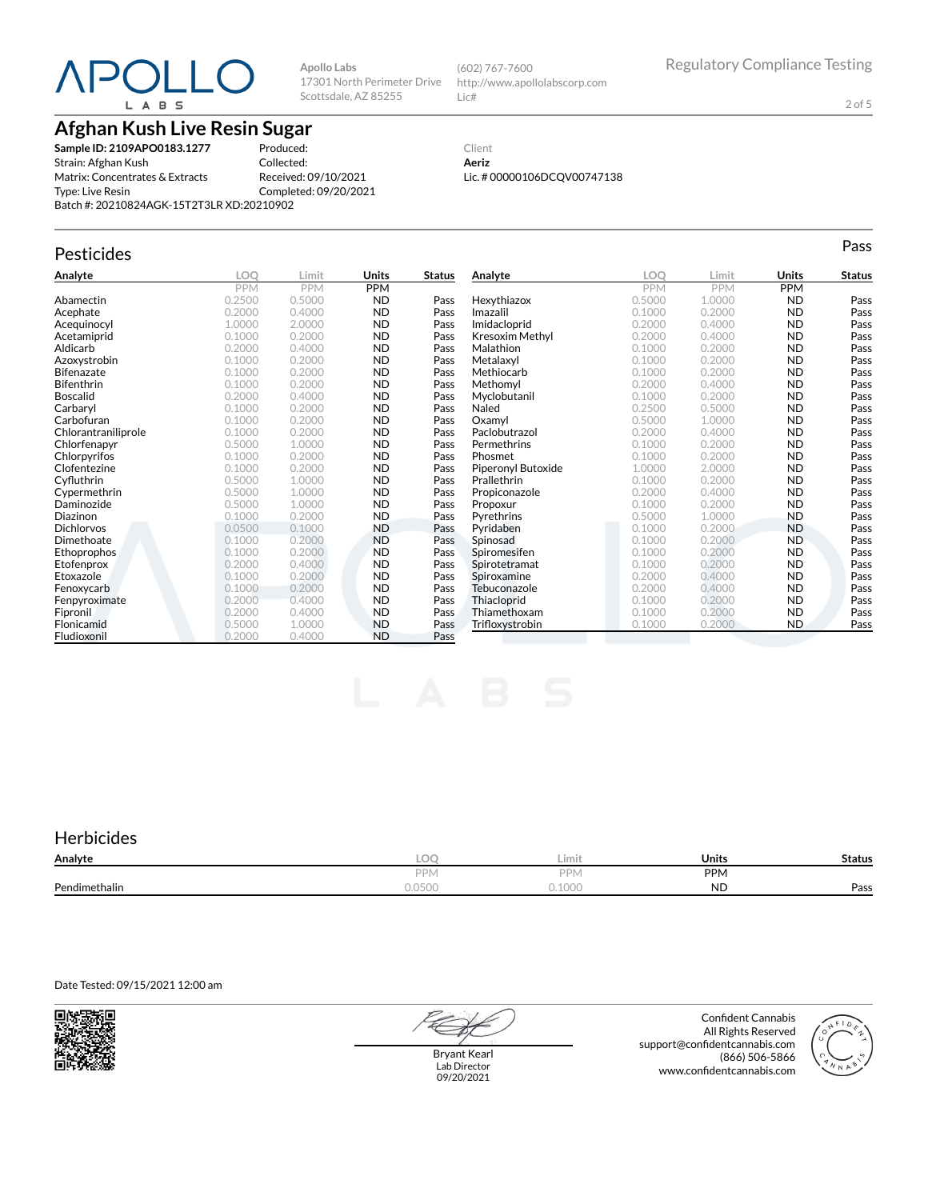**Afghan Kush Live Resin Sugar**

**Sample ID: 2109APO0183.1277** Strain: Afghan Kush Matrix: Concentrates & Extracts Type: Live Resin Batch #: 20210824AGK-15T2T3LR XD:20210902

Produced: Collected: Received: 09/10/2021 Completed: 09/20/2021

**Apollo Labs**

Scottsdale, AZ 85255

17301 North Perimeter Drive http://www.apollolabscorp.com Lic#

(602) 767-7600

#### Client **Aeriz** Lic. # 00000106DCQV00747138

| Pesticides          |            |        |              |               |                        |            |            |              | Pass          |
|---------------------|------------|--------|--------------|---------------|------------------------|------------|------------|--------------|---------------|
| Analyte             | <b>LOO</b> | Limit  | <b>Units</b> | <b>Status</b> | Analyte                | LOO        | Limit      | <b>Units</b> | <b>Status</b> |
|                     | <b>PPM</b> | PPM    | <b>PPM</b>   |               |                        | <b>PPM</b> | <b>PPM</b> | <b>PPM</b>   |               |
| Abamectin           | 0.2500     | 0.5000 | <b>ND</b>    | Pass          | Hexythiazox            | 0.5000     | 1.0000     | <b>ND</b>    | Pass          |
| Acephate            | 0.2000     | 0.4000 | <b>ND</b>    | Pass          | Imazalil               | 0.1000     | 0.2000     | <b>ND</b>    | Pass          |
| Acequinocyl         | 1.0000     | 2.0000 | <b>ND</b>    | Pass          | Imidacloprid           | 0.2000     | 0.4000     | <b>ND</b>    | Pass          |
| Acetamiprid         | 0.1000     | 0.2000 | <b>ND</b>    | Pass          | <b>Kresoxim Methyl</b> | 0.2000     | 0.4000     | <b>ND</b>    | Pass          |
| Aldicarb            | 0.2000     | 0.4000 | <b>ND</b>    | Pass          | Malathion              | 0.1000     | 0.2000     | <b>ND</b>    | Pass          |
| Azoxystrobin        | 0.1000     | 0.2000 | <b>ND</b>    | Pass          | Metalaxyl              | 0.1000     | 0.2000     | <b>ND</b>    | Pass          |
| <b>Bifenazate</b>   | 0.1000     | 0.2000 | <b>ND</b>    | Pass          | Methiocarb             | 0.1000     | 0.2000     | <b>ND</b>    | Pass          |
| <b>Bifenthrin</b>   | 0.1000     | 0.2000 | <b>ND</b>    | Pass          | Methomyl               | 0.2000     | 0.4000     | <b>ND</b>    | Pass          |
| <b>Boscalid</b>     | 0.2000     | 0.4000 | <b>ND</b>    | Pass          | Myclobutanil           | 0.1000     | 0.2000     | <b>ND</b>    | Pass          |
| Carbarvl            | 0.1000     | 0.2000 | <b>ND</b>    | Pass          | Naled                  | 0.2500     | 0.5000     | <b>ND</b>    | Pass          |
| Carbofuran          | 0.1000     | 0.2000 | <b>ND</b>    | Pass          | Oxamyl                 | 0.5000     | 1.0000     | <b>ND</b>    | Pass          |
| Chlorantraniliprole | 0.1000     | 0.2000 | <b>ND</b>    | Pass          | Paclobutrazol          | 0.2000     | 0.4000     | <b>ND</b>    | Pass          |
| Chlorfenapyr        | 0.5000     | 1.0000 | <b>ND</b>    | Pass          | Permethrins            | 0.1000     | 0.2000     | <b>ND</b>    | Pass          |
| Chlorpyrifos        | 0.1000     | 0.2000 | <b>ND</b>    | Pass          | Phosmet                | 0.1000     | 0.2000     | <b>ND</b>    | Pass          |
| Clofentezine        | 0.1000     | 0.2000 | <b>ND</b>    | Pass          | Piperonyl Butoxide     | 1.0000     | 2.0000     | <b>ND</b>    | Pass          |
| Cyfluthrin          | 0.5000     | 1.0000 | <b>ND</b>    | Pass          | Prallethrin            | 0.1000     | 0.2000     | <b>ND</b>    | Pass          |
| Cypermethrin        | 0.5000     | 1.0000 | <b>ND</b>    | Pass          | Propiconazole          | 0.2000     | 0.4000     | <b>ND</b>    | Pass          |
| Daminozide          | 0.5000     | 1.0000 | <b>ND</b>    | Pass          | Propoxur               | 0.1000     | 0.2000     | <b>ND</b>    | Pass          |
| Diazinon            | 0.1000     | 0.2000 | <b>ND</b>    | Pass          | Pyrethrins             | 0.5000     | 1.0000     | <b>ND</b>    | Pass          |
| <b>Dichlorvos</b>   | 0.0500     | 0.1000 | <b>ND</b>    | Pass          | Pyridaben              | 0.1000     | 0.2000     | <b>ND</b>    | Pass          |
| Dimethoate          | 0.1000     | 0.2000 | <b>ND</b>    | Pass          | Spinosad               | 0.1000     | 0.2000     | <b>ND</b>    | Pass          |
| Ethoprophos         | 0.1000     | 0.2000 | <b>ND</b>    | Pass          | Spiromesifen           | 0.1000     | 0.2000     | <b>ND</b>    | Pass          |
| Etofenprox          | 0.2000     | 0.4000 | <b>ND</b>    | Pass          | Spirotetramat          | 0.1000     | 0.2000     | <b>ND</b>    | Pass          |
| Etoxazole           | 0.1000     | 0.2000 | <b>ND</b>    | Pass          | Spiroxamine            | 0.2000     | 0.4000     | <b>ND</b>    | Pass          |
| Fenoxycarb          | 0.1000     | 0.2000 | <b>ND</b>    | Pass          | Tebuconazole           | 0.2000     | 0.4000     | <b>ND</b>    | Pass          |
| Fenpyroximate       | 0.2000     | 0.4000 | <b>ND</b>    | Pass          | Thiacloprid            | 0.1000     | 0.2000     | <b>ND</b>    | Pass          |
| Fipronil            | 0.2000     | 0.4000 | <b>ND</b>    | Pass          | Thiamethoxam           | 0.1000     | 0.2000     | <b>ND</b>    | Pass          |
| Flonicamid          | 0.5000     | 1.0000 | <b>ND</b>    | Pass          | Trifloxystrobin        | 0.1000     | 0.2000     | <b>ND</b>    | Pass          |
| Fludioxonil         | 0.2000     | 0.4000 | <b>ND</b>    | Pass          |                        |            |            |              |               |

### **Herbicides**

| Analyte       | LOC              | Limit              | Units     | <b>Status</b> |
|---------------|------------------|--------------------|-----------|---------------|
|               | <b>DDI</b><br>TV | <b>DDN</b><br>ʻivi | PPN.      |               |
| Pendimethalin | U.UJUU           | $\cap$<br>.UUU     | <b>ND</b> | Pass          |

#### Date Tested: 09/15/2021 12:00 am

Bryant Kearl Lab Director 09/20/2021

Confident Cannabis All Rights Reserved support@confidentcannabis.com (866) 506-5866 www.confidentcannabis.com



2 of 5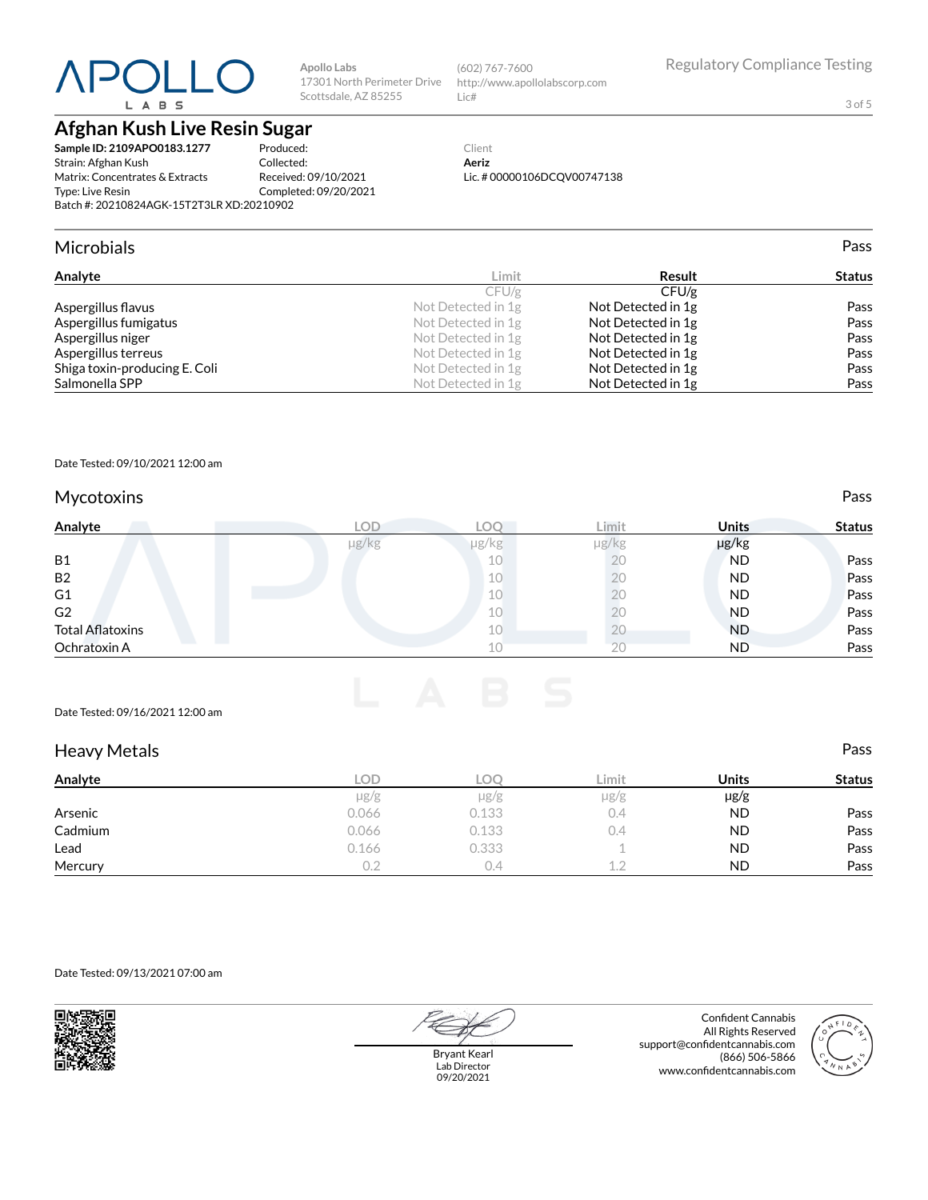**Afghan Kush Live Resin Sugar**

**Sample ID: 2109APO0183.1277** Strain: Afghan Kush Matrix: Concentrates & Extracts Type: Live Resin Batch #: 20210824AGK-15T2T3LR XD:20210902

Produced: Collected: Received: 09/10/2021 Completed: 09/20/2021

**Apollo Labs**

Scottsdale, AZ 85255

#### Client **Aeriz** Lic. # 00000106DCQV00747138

(602) 767-7600

17301 North Perimeter Drive http://www.apollolabscorp.com

Lic#

Microbials Pass

| Analyte                       | Limit              | Result             | <b>Status</b> |
|-------------------------------|--------------------|--------------------|---------------|
|                               | CFU/g              | CFU/g              |               |
| Aspergillus flavus            | Not Detected in 1g | Not Detected in 1g | Pass          |
| Aspergillus fumigatus         | Not Detected in 1g | Not Detected in 1g | Pass          |
| Aspergillus niger             | Not Detected in 1g | Not Detected in 1g | Pass          |
| Aspergillus terreus           | Not Detected in 1g | Not Detected in 1g | Pass          |
| Shiga toxin-producing E. Coli | Not Detected in 1g | Not Detected in 1g | Pass          |
| Salmonella SPP                | Not Detected in 1g | Not Detected in 1g | Pass          |

#### Date Tested: 09/10/2021 12:00 am

### Mycotoxins **Pass**

| Analyte                 | LOD   | LOO        | Limit      | <b>Units</b> | <b>Status</b> |
|-------------------------|-------|------------|------------|--------------|---------------|
|                         | µg/kg | $\mu$ g/kg | $\mu$ g/kg | µg/kg        |               |
| <b>B1</b>               |       | 10         | 20         | <b>ND</b>    | Pass          |
| B <sub>2</sub>          |       | 10         | 20         | <b>ND</b>    | Pass          |
| G <sub>1</sub>          |       | 10         | 20         | <b>ND</b>    | Pass          |
| G <sub>2</sub>          |       | 10         | 20         | <b>ND</b>    | Pass          |
| <b>Total Aflatoxins</b> |       | 10         | ΖU         | <b>ND</b>    | Pass          |
| Ochratoxin A            |       | 10         | 20         | <b>ND</b>    | Pass          |

#### Date Tested: 09/16/2021 12:00 am

| <b>Heavy Metals</b> |            |            |           |           | Pass          |
|---------------------|------------|------------|-----------|-----------|---------------|
| Analyte             | <b>LOD</b> | <b>LOO</b> | Limit     | Units     | <b>Status</b> |
|                     | $\mu$ g/g  | $\mu$ g/g  | $\mu$ g/g | $\mu$ g/g |               |
| Arsenic             | 0.066      | 0.133      | 0.4       | <b>ND</b> | Pass          |
| Cadmium             | 0.066      | 0.133      | 0.4       | <b>ND</b> | Pass          |
| Lead                | 0.166      | 0.333      |           | <b>ND</b> | Pass          |
| Mercury             | 0.2        | U.4        | 1.2       | <b>ND</b> | Pass          |

#### Date Tested: 09/13/2021 07:00 am



Bryant Kearl Lab Director 09/20/2021

Confident Cannabis All Rights Reserved support@confidentcannabis.com (866) 506-5866 www.confidentcannabis.com



3 of 5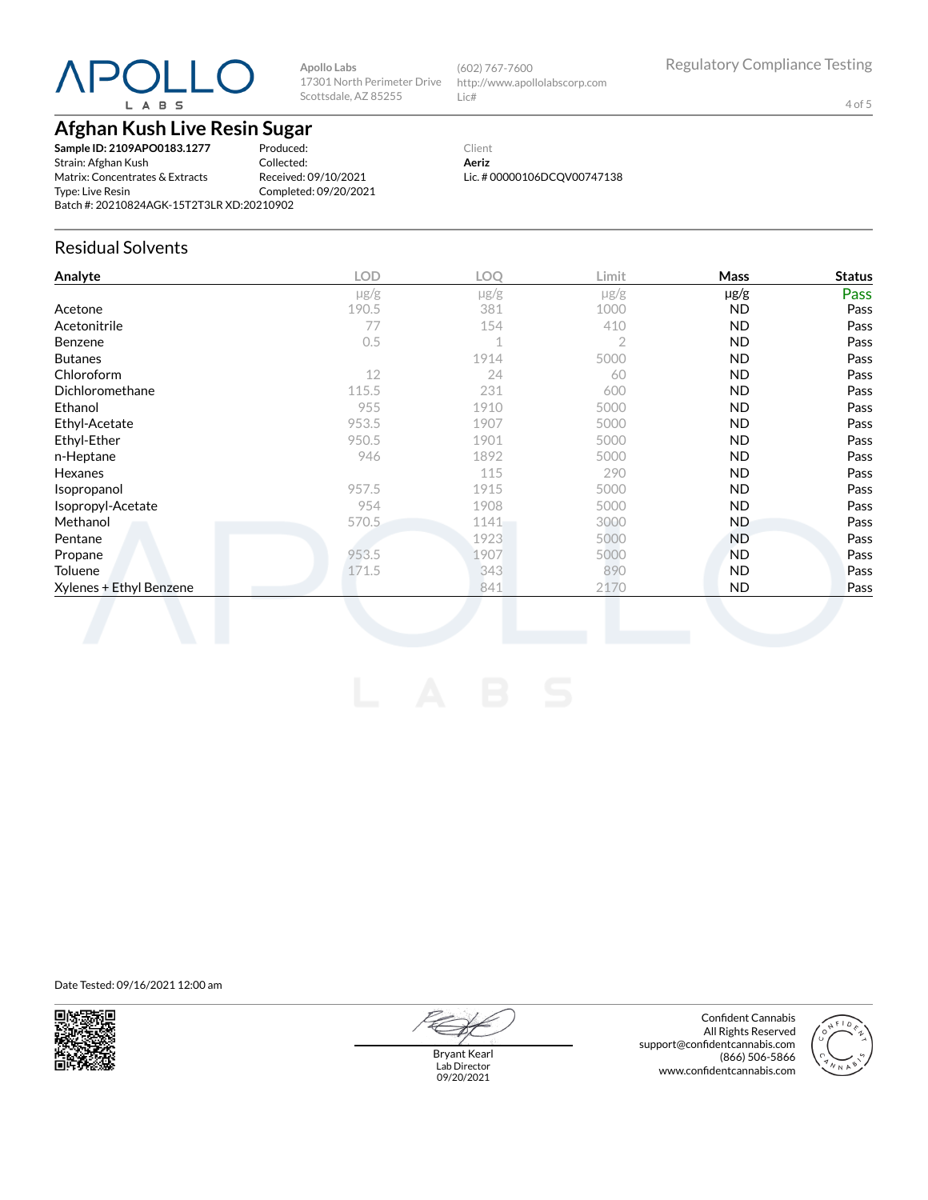**Apollo Labs** 17301 North Perimeter Drive Scottsdale, AZ 85255

(602) 767-7600 http://www.apollolabscorp.com Lic#

4 of 5

## **Afghan Kush Live Resin Sugar**

**Sample ID: 2109APO0183.1277** Strain: Afghan Kush Matrix: Concentrates & Extracts Type: Live Resin Batch #: 20210824AGK-15T2T3LR XD:20210902

Produced: Collected: Received: 09/10/2021 Completed: 09/20/2021

#### Client **Aeriz** Lic. # 00000106DCQV00747138

## Residual Solvents

| $\mu$ g/g |             |                | <b>Mass</b> | <b>Status</b> |
|-----------|-------------|----------------|-------------|---------------|
|           | $\mu$ g/g   | $\mu$ g/g      | $\mu$ g/g   | Pass          |
| 190.5     | 381         | 1000           | ND.         | Pass          |
| 77        | 154         | 410            | <b>ND</b>   | Pass          |
| 0.5       | $\mathbf 1$ | $\overline{2}$ | <b>ND</b>   | Pass          |
|           | 1914        | 5000           | ND.         | Pass          |
| 12        | 24          | 60             | <b>ND</b>   | Pass          |
| 115.5     | 231         | 600            | <b>ND</b>   | Pass          |
| 955       | 1910        | 5000           | ND.         | Pass          |
| 953.5     | 1907        | 5000           | ND.         | Pass          |
| 950.5     | 1901        | 5000           | <b>ND</b>   | Pass          |
| 946       | 1892        | 5000           | <b>ND</b>   | Pass          |
|           | 115         | 290            | ND.         | Pass          |
| 957.5     | 1915        | 5000           | ND.         | Pass          |
| 954       | 1908        | 5000           | ND.         | Pass          |
| 570.5     | 1141        | 3000           | ND.         | Pass          |
|           | 1923        | 5000           | ND.         | Pass          |
| 953.5     | 1907        | 5000           | <b>ND</b>   | Pass          |
| 171.5     | 343         | 890            | ND.         | Pass          |
|           | 841         | 2170           | ND.         | Pass          |
|           |             |                |             |               |

Date Tested: 09/16/2021 12:00 am



Bryant Kearl Lab Director 09/20/2021

Confident Cannabis All Rights Reserved support@confidentcannabis.com (866) 506-5866 www.confidentcannabis.com